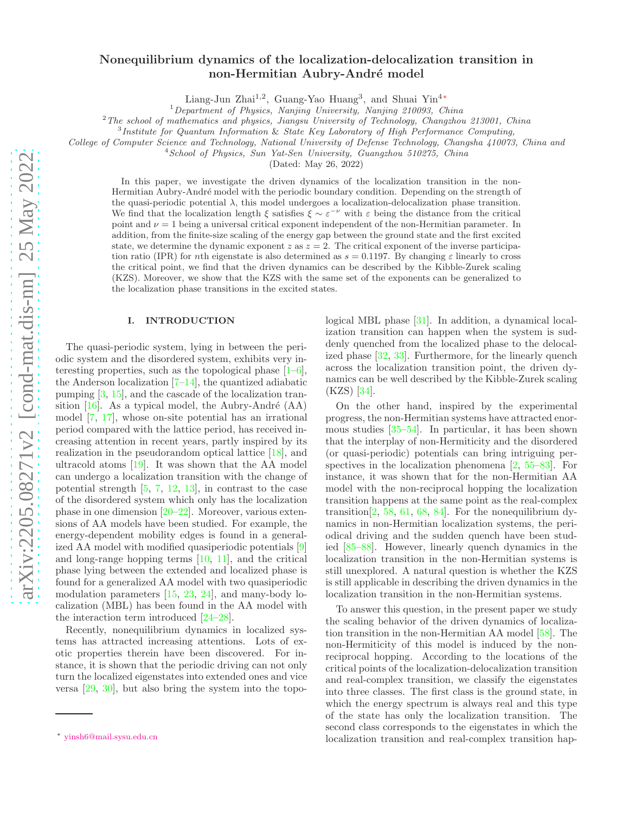# Nonequilibrium dynamics of the localization-delocalization transition in non-Hermitian Aubry-André model

Liang-Jun Zhai<sup>1,2</sup>, Guang-Yao Huang<sup>3</sup>, and Shuai Yin<sup>4</sup>\*

<sup>1</sup>Department of Physics, Nanjing University, Nanjing 210093, China

 $2$ The school of mathematics and physics, Jiangsu University of Technology, Changzhou 213001, China

3 Institute for Quantum Information & State Key Laboratory of High Performance Computing,

College of Computer Science and Technology, National University of Defense Technology, Changsha 410073, China and

<sup>4</sup> School of Physics, Sun Yat-Sen University, Guangzhou 510275, China

(Dated: May 26, 2022)

In this paper, we investigate the driven dynamics of the localization transition in the non-Hermitian Aubry-André model with the periodic boundary condition. Depending on the strength of the quasi-periodic potential  $\lambda$ , this model undergoes a localization-delocalization phase transition. We find that the localization length  $\xi$  satisfies  $\xi \sim \varepsilon^{-\nu}$  with  $\varepsilon$  being the distance from the critical point and  $\nu = 1$  being a universal critical exponent independent of the non-Hermitian parameter. In addition, from the finite-size scaling of the energy gap between the ground state and the first excited state, we determine the dynamic exponent z as  $z = 2$ . The critical exponent of the inverse participation ratio (IPR) for nth eigenstate is also determined as  $s = 0.1197$ . By changing  $\varepsilon$  linearly to cross the critical point, we find that the driven dynamics can be described by the Kibble-Zurek scaling (KZS). Moreover, we show that the KZS with the same set of the exponents can be generalized to the localization phase transitions in the excited states.

### I. INTRODUCTION

The quasi-periodic system, lying in between the periodic system and the disordered system, exhibits very interesting properties, such as the topological phase  $[1-6]$ , the Anderson localization  $[7-14]$ , the quantized adiabatic pumping [3, 15], and the cascade of the localization transition  $[16]$ . As a typical model, the Aubry-André (AA) model [7, 17], whose on-site potential has an irrational period compared with the lattice period, has received increasing attention in recent years, partly inspired by its realization in the pseudorandom optical lattice [18], and ultracold atoms [19]. It was shown that the AA model can undergo a localization transition with the change of potential strength  $[5, 7, 12, 13]$ , in contrast to the case of the disordered system which only has the localization phase in one dimension  $[20-22]$ . Moreover, various extensions of AA models have been studied. For example, the energy-dependent mobility edges is found in a generalized AA model with modified quasiperiodic potentials [9] and long-range hopping terms  $[10, 11]$ , and the critical phase lying between the extended and localized phase is found for a generalized AA model with two quasiperiodic modulation parameters [15, 23, 24], and many-body localization (MBL) has been found in the AA model with the interaction term introduced [24–28].

Recently, nonequilibrium dynamics in localized systems has attracted increasing attentions. Lots of exotic properties therein have been discovered. For instance, it is shown that the periodic driving can not only turn the localized eigenstates into extended ones and vice versa [29, 30], but also bring the system into the topological MBL phase [31]. In addition, a dynamical localization transition can happen when the system is suddenly quenched from the localized phase to the delocalized phase [32, 33]. Furthermore, for the linearly quench across the localization transition point, the driven dynamics can be well described by the Kibble-Zurek scaling (KZS) [34].

On the other hand, inspired by the experimental progress, the non-Hermitian systems have attracted enormous studies [35–54]. In particular, it has been shown that the interplay of non-Hermiticity and the disordered (or quasi-periodic) potentials can bring intriguing perspectives in the localization phenomena [2, 55–83]. For instance, it was shown that for the non-Hermitian AA model with the non-reciprocal hopping the localization transition happens at the same point as the real-complex transition<sup>[2, 58, 61, 68, 84]</sup>. For the nonequilibrium dynamics in non-Hermitian localization systems, the periodical driving and the sudden quench have been studied [85–88]. However, linearly quench dynamics in the localization transition in the non-Hermitian systems is still unexplored. A natural question is whether the KZS is still applicable in describing the driven dynamics in the localization transition in the non-Hermitian systems.

To answer this question, in the present paper we study the scaling behavior of the driven dynamics of localization transition in the non-Hermitian AA model [58]. The non-Hermiticity of this model is induced by the nonreciprocal hopping. According to the locations of the critical points of the localization-delocalization transition and real-complex transition, we classify the eigenstates into three classes. The first class is the ground state, in which the energy spectrum is always real and this type of the state has only the localization transition. The second class corresponds to the eigenstates in which the localization transition and real-complex transition hap-

<sup>∗</sup> yinsh6@mail.sysu.edu.cn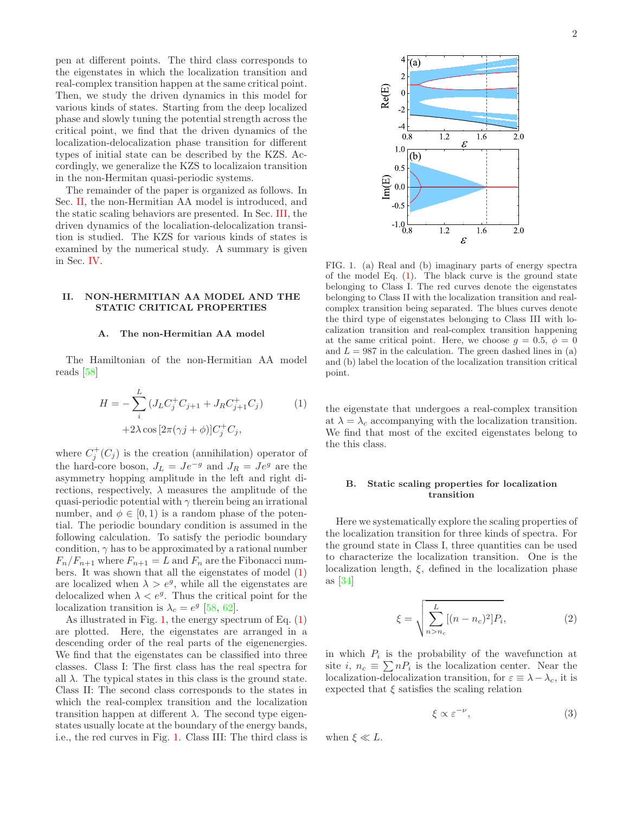pen at different points. The third class corresponds to the eigenstates in which the localization transition and real-complex transition happen at the same critical point. Then, we study the driven dynamics in this model for various kinds of states. Starting from the deep localized phase and slowly tuning the potential strength across the critical point, we find that the driven dynamics of the localization-delocalization phase transition for different types of initial state can be described by the KZS. Accordingly, we generalize the KZS to localizaion transition in the non-Hermitan quasi-periodic systems.

The remainder of the paper is organized as follows. In Sec. II, the non-Hermitian AA model is introduced, and the static scaling behaviors are presented. In Sec. III, the driven dynamics of the localiation-delocalization transition is studied. The KZS for various kinds of states is examined by the numerical study. A summary is given in Sec. IV.

### II. NON-HERMITIAN AA MODEL AND THE STATIC CRITICAL PROPERTIES

# A. The non-Hermitian AA model

The Hamiltonian of the non-Hermitian AA model reads [58]

$$
H = -\sum_{i}^{L} (J_{L}C_{j}^{+}C_{j+1} + J_{R}C_{j+1}^{+}C_{j})
$$
  
+2\lambda \cos [2\pi(\gamma j + \phi)]C\_{j}^{+}C\_{j}, (1)

where  $C_j^+(C_j)$  is the creation (annihilation) operator of the hard-core boson,  $J_L = Je^{-g}$  and  $J_R = Je^{g}$  are the asymmetry hopping amplitude in the left and right directions, respectively,  $\lambda$  measures the amplitude of the quasi-periodic potential with  $\gamma$  therein being an irrational number, and  $\phi \in [0, 1)$  is a random phase of the potential. The periodic boundary condition is assumed in the following calculation. To satisfy the periodic boundary condition,  $\gamma$  has to be approximated by a rational number  $F_n/F_{n+1}$  where  $F_{n+1} = L$  and  $F_n$  are the Fibonacci numbers. It was shown that all the eigenstates of model  $(1)$ are localized when  $\lambda > e^g$ , while all the eigenstates are delocalized when  $\lambda < e^g$ . Thus the critical point for the localization transition is  $\lambda_c = e^g$  [58, 62].

As illustrated in Fig. 1, the energy spectrum of Eq.  $(1)$ are plotted. Here, the eigenstates are arranged in a descending order of the real parts of the eigenenergies. We find that the eigenstates can be classified into three classes. Class I: The first class has the real spectra for all  $\lambda$ . The typical states in this class is the ground state. Class II: The second class corresponds to the states in which the real-complex transition and the localization transition happen at different  $\lambda$ . The second type eigenstates usually locate at the boundary of the energy bands, i.e., the red curves in Fig. 1. Class III: The third class is



FIG. 1. (a) Real and (b) imaginary parts of energy spectra of the model Eq.  $(1)$ . The black curve is the ground state belonging to Class I. The red curves denote the eigenstates belonging to Class II with the localization transition and realcomplex transition being separated. The blues curves denote the third type of eigenstates belonging to Class III with localization transition and real-complex transition happening at the same critical point. Here, we choose  $q = 0.5, \phi = 0$ and  $L = 987$  in the calculation. The green dashed lines in (a) and (b) label the location of the localization transition critical point.

the eigenstate that undergoes a real-complex transition at  $\lambda = \lambda_c$  accompanying with the localization transition. We find that most of the excited eigenstates belong to the this class.

# B. Static scaling properties for localization transition

Here we systematically explore the scaling properties of the localization transition for three kinds of spectra. For the ground state in Class I, three quantities can be used to characterize the localization transition. One is the localization length,  $\xi$ , defined in the localization phase as [34]

$$
\xi = \sqrt{\sum_{n>n_c}^{L} [(n - n_c)^2] P_i},
$$
\n(2)

in which  $P_i$  is the probability of the wavefunction at site *i*,  $n_c \equiv \sum nP_i$  is the localization center. Near the localization-delocalization transition, for  $\varepsilon \equiv \lambda - \lambda_c$ , it is expected that  $\xi$  satisfies the scaling relation

$$
\xi \propto \varepsilon^{-\nu},\tag{3}
$$

when  $\xi \ll L$ .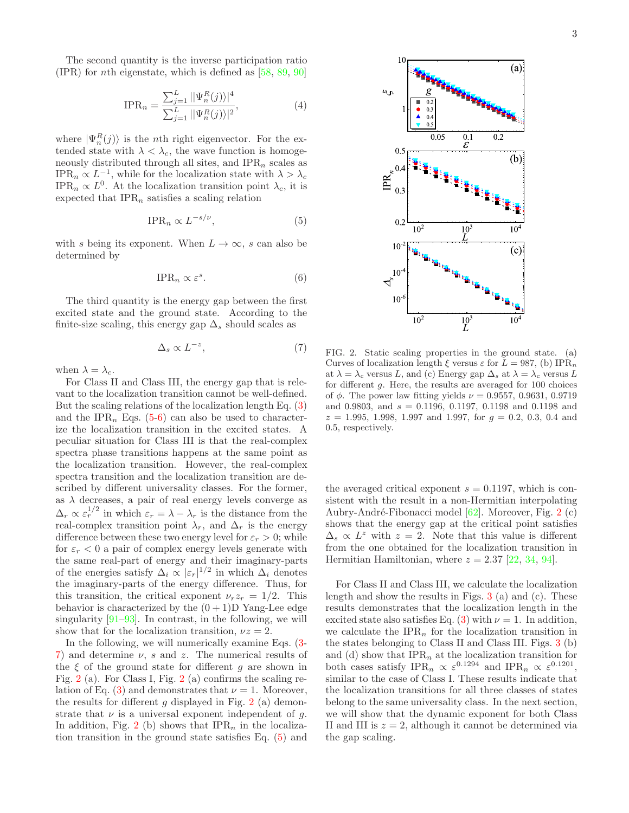The second quantity is the inverse participation ratio (IPR) for nth eigenstate, which is defined as [58, 89, 90]

$$
IPR_n = \frac{\sum_{j=1}^{L} ||\Psi_n^R(j))|^4}{\sum_{j=1}^{L} ||\Psi_n^R(j))|^2},
$$
\n(4)

where  $|\Psi_n^R(j)\rangle$  is the *n*th right eigenvector. For the extended state with  $\lambda < \lambda_c$ , the wave function is homogeneously distributed through all sites, and  $IPR_n$  scales as IPR<sub>n</sub>  $\propto L^{-1}$ , while for the localization state with  $\lambda > \lambda_c$ IPR<sub>n</sub>  $\propto L^0$ . At the localization transition point  $\lambda_c$ , it is expected that  $IPR_n$  satisfies a scaling relation

$$
\text{IPR}_n \propto L^{-s/\nu},\tag{5}
$$

with s being its exponent. When  $L \to \infty$ , s can also be determined by

$$
\text{IPR}_n \propto \varepsilon^s. \tag{6}
$$

The third quantity is the energy gap between the first excited state and the ground state. According to the finite-size scaling, this energy gap  $\Delta_s$  should scales as

$$
\Delta_s \propto L^{-z},\tag{7}
$$

when  $\lambda = \lambda_c$ .

For Class II and Class III, the energy gap that is relevant to the localization transition cannot be well-defined. But the scaling relations of the localization length Eq. (3) and the IPR<sub>n</sub> Eqs. (5-6) can also be used to characterize the localization transition in the excited states. A peculiar situation for Class III is that the real-complex spectra phase transitions happens at the same point as the localization transition. However, the real-complex spectra transition and the localization transition are described by different universality classes. For the former, as  $\lambda$  decreases, a pair of real energy levels converge as  $\Delta_r \propto \varepsilon_r^{1/2}$  in which  $\varepsilon_r = \lambda - \lambda_r$  is the distance from the real-complex transition point  $\lambda_r$ , and  $\Delta_r$  is the energy difference between these two energy level for  $\varepsilon_r > 0$ ; while for  $\varepsilon_r < 0$  a pair of complex energy levels generate with the same real-part of energy and their imaginary-parts of the energies satisfy  $\Delta_i \propto |\varepsilon_r|^{1/2}$  in which  $\Delta_i$  denotes the imaginary-parts of the energy difference. Thus, for this transition, the critical exponent  $\nu_r z_r = 1/2$ . This behavior is characterized by the  $(0+1)D$  Yang-Lee edge singularity  $[91-93]$ . In contrast, in the following, we will show that for the localization transition,  $\nu z = 2$ .

In the following, we will numerically examine Eqs. (3- 7) and determine  $\nu$ , s and z. The numerical results of the  $\xi$  of the ground state for different g are shown in Fig. 2 (a). For Class I, Fig. 2 (a) confirms the scaling relation of Eq. (3) and demonstrates that  $\nu = 1$ . Moreover, the results for different  $g$  displayed in Fig. 2 (a) demonstrate that  $\nu$  is a universal exponent independent of g. In addition, Fig. 2 (b) shows that  $IPR_n$  in the localization transition in the ground state satisfies Eq. (5) and



FIG. 2. Static scaling properties in the ground state. (a) Curves of localization length  $\xi$  versus  $\varepsilon$  for  $L = 987$ , (b) IPR<sub>n</sub> at  $\lambda = \lambda_c$  versus L, and (c) Energy gap  $\Delta_s$  at  $\lambda = \lambda_c$  versus L for different g. Here, the results are averaged for 100 choices of  $\phi$ . The power law fitting yields  $\nu = 0.9557, 0.9631, 0.9719$ and 0.9803, and  $s = 0.1196, 0.1197, 0.1198$  and 0.1198 and  $z = 1.995, 1.998, 1.997,$  and 1.997, for  $g = 0.2, 0.3, 0.4,$  and 0.5, respectively.

the averaged critical exponent  $s = 0.1197$ , which is consistent with the result in a non-Hermitian interpolating Aubry-André-Fibonacci model [62]. Moreover, Fig. 2 (c) shows that the energy gap at the critical point satisfies  $\Delta_s \propto L^z$  with  $z = 2$ . Note that this value is different from the one obtained for the localization transition in Hermitian Hamiltonian, where  $z = 2.37$  [22, 34, 94].

For Class II and Class III, we calculate the localization length and show the results in Figs. 3 (a) and (c). These results demonstrates that the localization length in the excited state also satisfies Eq. (3) with  $\nu = 1$ . In addition, we calculate the  $IPR_n$  for the localization transition in the states belonging to Class II and Class III. Figs. 3 (b) and (d) show that  $IPR_n$  at the localization transition for both cases satisfy IPR<sub>n</sub>  $\propto \varepsilon^{0.1294}$  and IPR<sub>n</sub>  $\propto \varepsilon^{0.1201}$ , similar to the case of Class I. These results indicate that the localization transitions for all three classes of states belong to the same universality class. In the next section, we will show that the dynamic exponent for both Class II and III is  $z = 2$ , although it cannot be determined via the gap scaling.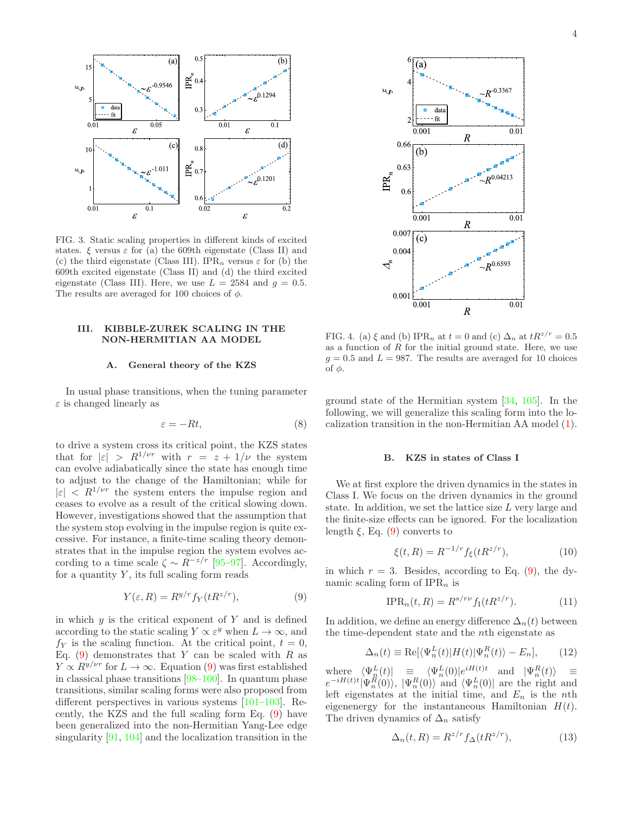

FIG. 3. Static scaling properties in different kinds of excited states.  $\xi$  versus  $\varepsilon$  for (a) the 609th eigenstate (Class II) and (c) the third eigenstate (Class III). IPR<sub>n</sub> versus  $\varepsilon$  for (b) the 609th excited eigenstate (Class II) and (d) the third excited eigenstate (Class III). Here, we use  $L = 2584$  and  $q = 0.5$ . The results are averaged for 100 choices of  $\phi$ .

# III. KIBBLE-ZUREK SCALING IN THE NON-HERMITIAN AA MODEL

#### A. General theory of the KZS

In usual phase transitions, when the tuning parameter  $\varepsilon$  is changed linearly as

$$
\varepsilon = -Rt,\tag{8}
$$

to drive a system cross its critical point, the KZS states that for  $|\varepsilon| > R^{1/\nu r}$  with  $r = z + 1/\nu$  the system can evolve adiabatically since the state has enough time to adjust to the change of the Hamiltonian; while for  $|\varepsilon|$  <  $R^{1/\nu r}$  the system enters the impulse region and ceases to evolve as a result of the critical slowing down. However, investigations showed that the assumption that the system stop evolving in the impulse region is quite excessive. For instance, a finite-time scaling theory demonstrates that in the impulse region the system evolves according to a time scale  $\zeta \sim R^{-z/r}$  [95–97]. Accordingly, for a quantity  $Y$ , its full scaling form reads

$$
Y(\varepsilon, R) = R^{y/r} f_Y(tR^{z/r}),\tag{9}
$$

in which  $y$  is the critical exponent of  $Y$  and is defined according to the static scaling  $Y \propto \varepsilon^y$  when  $L \to \infty$ , and  $f_Y$  is the scaling function. At the critical point,  $t = 0$ , Eq.  $(9)$  demonstrates that Y can be scaled with R as  $Y \propto R^{y/\nu r}$  for  $L \to \infty$ . Equation (9) was first established in classical phase transitions [98–100]. In quantum phase transitions, similar scaling forms were also proposed from different perspectives in various systems [101–103]. Recently, the KZS and the full scaling form Eq. (9) have been generalized into the non-Hermitian Yang-Lee edge singularity [91, 104] and the localization transition in the



FIG. 4. (a)  $\xi$  and (b) IPR<sub>n</sub> at  $t = 0$  and (c)  $\Delta_n$  at  $tR^{z/r} = 0.5$ as a function of  $R$  for the initial ground state. Here, we use  $g = 0.5$  and  $L = 987$ . The results are averaged for 10 choices of  $φ$ .

ground state of the Hermitian system [34, 105]. In the following, we will generalize this scaling form into the localization transition in the non-Hermitian AA model (1).

#### B. KZS in states of Class I

We at first explore the driven dynamics in the states in Class I. We focus on the driven dynamics in the ground state. In addition, we set the lattice size  $L$  very large and the finite-size effects can be ignored. For the localization length  $\xi$ , Eq. (9) converts to

$$
\xi(t,R) = R^{-1/r} f_{\xi}(tR^{z/r}),\tag{10}
$$

in which  $r = 3$ . Besides, according to Eq. (9), the dynamic scaling form of  $IPR_n$  is

$$
\text{IPR}_n(t,R) = R^{s/r\nu} f_{\text{I}}(tR^{z/r}).\tag{11}
$$

In addition, we define an energy difference  $\Delta_n(t)$  between the time-dependent state and the nth eigenstate as

$$
\Delta_n(t) \equiv \text{Re}[\langle \Psi_n^L(t) | H(t) | \Psi_n^R(t) \rangle - E_n], \qquad (12)
$$

where  $\langle \Psi_n^L(t) | \equiv \langle \Psi_n^L(0) | e^{iH(t)t} \text{ and } |\Psi_n^R(t) \rangle \equiv$  $e^{-iH(t)t}|\Psi_n^R(0)\rangle$ ,  $|\Psi_n^R(0)\rangle$  and  $\langle \Psi_n^L(0)|$  are the right and left eigenstates at the initial time, and  $E_n$  is the nth eigenenergy for the instantaneous Hamiltonian  $H(t)$ . The driven dynamics of  $\Delta_n$  satisfy

$$
\Delta_n(t, R) = R^{z/r} f_\Delta(t R^{z/r}),\tag{13}
$$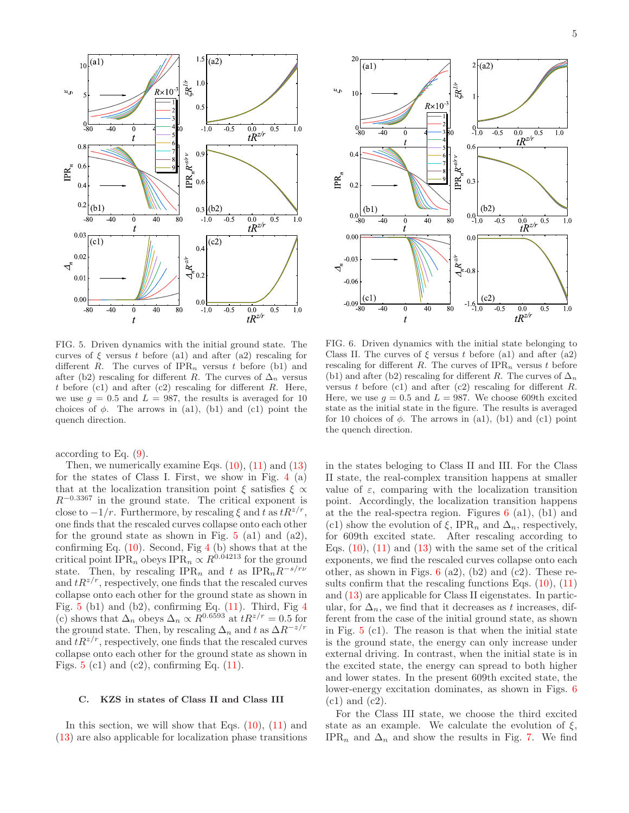

FIG. 5. Driven dynamics with the initial ground state. The curves of  $\xi$  versus t before (a1) and after (a2) rescaling for different R. The curves of  $IPR_n$  versus t before (b1) and after (b2) rescaling for different R. The curves of  $\Delta_n$  versus t before  $(c1)$  and after  $(c2)$  rescaling for different R. Here, we use  $q = 0.5$  and  $L = 987$ , the results is averaged for 10 choices of  $\phi$ . The arrows in (a1), (b1) and (c1) point the quench direction.

according to Eq. (9).

Then, we numerically examine Eqs.  $(10)$ ,  $(11)$  and  $(13)$ for the states of Class I. First, we show in Fig. 4 (a) that at the localization transition point  $\xi$  satisfies  $\xi \propto$  $R^{-0.3367}$  in the ground state. The critical exponent is close to  $-1/r$ . Furthermore, by rescaling  $\xi$  and t as  $tR^{z/r}$ , one finds that the rescaled curves collapse onto each other for the ground state as shown in Fig.  $5$  (a1) and (a2), confirming Eq.  $(10)$ . Second, Fig 4  $(b)$  shows that at the critical point IPR<sub>n</sub> obeys IPR<sub>n</sub>  $\propto R^{0.04213}$  for the ground state. Then, by rescaling IPR<sub>n</sub> and t as IPR<sub>n</sub> $R^{-s/ry}$ and  $tR^{z/r}$ , respectively, one finds that the rescaled curves collapse onto each other for the ground state as shown in Fig.  $5$  (b1) and (b2), confirming Eq. (11). Third, Fig 4 (c) shows that  $\Delta_n$  obeys  $\Delta_n \propto R^{0.6593}$  at  $tR^{z/r} = 0.5$  for the ground state. Then, by rescaling  $\Delta_n$  and t as  $\Delta R^{-z/r}$ and  $tR^{z/r}$ , respectively, one finds that the rescaled curves collapse onto each other for the ground state as shown in Figs.  $5$  (c1) and (c2), confirming Eq. (11).

#### C. KZS in states of Class II and Class III

In this section, we will show that Eqs.  $(10)$ ,  $(11)$  and (13) are also applicable for localization phase transitions



FIG. 6. Driven dynamics with the initial state belonging to Class II. The curves of  $\xi$  versus t before (a1) and after (a2) rescaling for different R. The curves of  $IPR_n$  versus t before (b1) and after (b2) rescaling for different R. The curves of  $\Delta_n$ versus t before (c1) and after (c2) rescaling for different  $R$ . Here, we use  $q = 0.5$  and  $L = 987$ . We choose 609th excited state as the initial state in the figure. The results is averaged for 10 choices of  $\phi$ . The arrows in (a1), (b1) and (c1) point the quench direction.

in the states beloging to Class II and III. For the Class II state, the real-complex transition happens at smaller value of  $\varepsilon$ , comparing with the localization transition point. Accordingly, the localization transition happens at the the real-spectra region. Figures  $6$  (a1), (b1) and (c1) show the evolution of  $\xi$ , IPR<sub>n</sub> and  $\Delta_n$ , respectively, for 609th excited state. After rescaling according to Eqs.  $(10)$ ,  $(11)$  and  $(13)$  with the same set of the critical exponents, we find the rescaled curves collapse onto each other, as shown in Figs.  $6$  (a2), (b2) and (c2). These results confirm that the rescaling functions Eqs.  $(10)$ ,  $(11)$ and (13) are applicable for Class II eigenstates. In particular, for  $\Delta_n$ , we find that it decreases as t increases, different from the case of the initial ground state, as shown in Fig.  $5$  (c1). The reason is that when the initial state is the ground state, the energy can only increase under external driving. In contrast, when the initial state is in the excited state, the energy can spread to both higher and lower states. In the present 609th excited state, the lower-energy excitation dominates, as shown in Figs. 6  $(c1)$  and  $(c2)$ .

For the Class III state, we choose the third excited state as an example. We calculate the evolution of  $\xi$ , IPR<sub>n</sub> and  $\Delta_n$  and show the results in Fig. 7. We find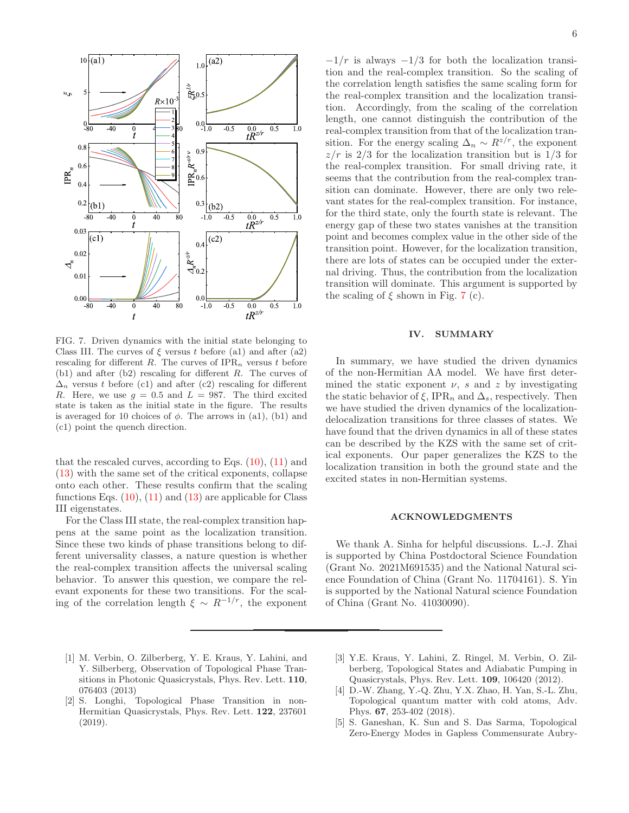

FIG. 7. Driven dynamics with the initial state belonging to Class III. The curves of  $\xi$  versus t before (a1) and after (a2) rescaling for different R. The curves of  $IPR_n$  versus t before (b1) and after (b2) rescaling for different R. The curves of  $\Delta_n$  versus t before (c1) and after (c2) rescaling for different R. Here, we use  $g = 0.5$  and  $L = 987$ . The third excited state is taken as the initial state in the figure. The results is averaged for 10 choices of  $\phi$ . The arrows in (a1), (b1) and (c1) point the quench direction.

that the rescaled curves, according to Eqs.  $(10)$ ,  $(11)$  and (13) with the same set of the critical exponents, collapse onto each other. These results confirm that the scaling functions Eqs.  $(10)$ ,  $(11)$  and  $(13)$  are applicable for Class III eigenstates.

For the Class III state, the real-complex transition happens at the same point as the localization transition. Since these two kinds of phase transitions belong to different universality classes, a nature question is whether the real-complex transition affects the universal scaling behavior. To answer this question, we compare the relevant exponents for these two transitions. For the scaling of the correlation length  $\xi \sim R^{-1/r}$ , the exponent

 $-1/r$  is always  $-1/3$  for both the localization transition and the real-complex transition. So the scaling of the correlation length satisfies the same scaling form for the real-complex transition and the localization transition. Accordingly, from the scaling of the correlation length, one cannot distinguish the contribution of the real-complex transition from that of the localization transition. For the energy scaling  $\Delta_n \sim R^{z/r}$ , the exponent  $z/r$  is 2/3 for the localization transition but is 1/3 for the real-complex transition. For small driving rate, it seems that the contribution from the real-complex transition can dominate. However, there are only two relevant states for the real-complex transition. For instance, for the third state, only the fourth state is relevant. The energy gap of these two states vanishes at the transition point and becomes complex value in the other side of the transition point. However, for the localization transition, there are lots of states can be occupied under the external driving. Thus, the contribution from the localization transition will dominate. This argument is supported by the scaling of  $\xi$  shown in Fig. 7 (c).

# IV. SUMMARY

In summary, we have studied the driven dynamics of the non-Hermitian AA model. We have first determined the static exponent  $\nu$ , s and z by investigating the static behavior of  $\xi$ , IPR<sub>n</sub> and  $\Delta_s$ , respectively. Then we have studied the driven dynamics of the localizationdelocalization transitions for three classes of states. We have found that the driven dynamics in all of these states can be described by the KZS with the same set of critical exponents. Our paper generalizes the KZS to the localization transition in both the ground state and the excited states in non-Hermitian systems.

#### ACKNOWLEDGMENTS

We thank A. Sinha for helpful discussions. L.-J. Zhai is supported by China Postdoctoral Science Foundation (Grant No. 2021M691535) and the National Natural science Foundation of China (Grant No. 11704161). S. Yin is supported by the National Natural science Foundation of China (Grant No. 41030090).

- [1] M. Verbin, O. Zilberberg, Y. E. Kraus, Y. Lahini, and Y. Silberberg, Observation of Topological Phase Transitions in Photonic Quasicrystals, Phys. Rev. Lett. 110, 076403 (2013)
- [2] S. Longhi, Topological Phase Transition in non-Hermitian Quasicrystals, Phys. Rev. Lett. 122, 237601 (2019).
- [3] Y.E. Kraus, Y. Lahini, Z. Ringel, M. Verbin, O. Zilberberg, Topological States and Adiabatic Pumping in Quasicrystals, Phys. Rev. Lett. 109, 106420 (2012).
- [4] D.-W. Zhang, Y.-Q. Zhu, Y.X. Zhao, H. Yan, S.-L. Zhu, Topological quantum matter with cold atoms, Adv. Phys. 67, 253-402 (2018).
- [5] S. Ganeshan, K. Sun and S. Das Sarma, Topological Zero-Energy Modes in Gapless Commensurate Aubry-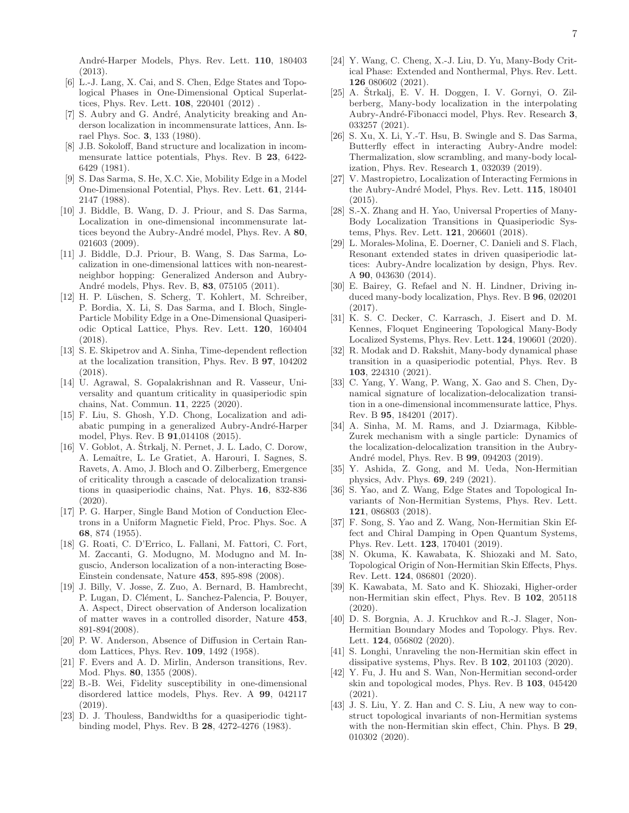- [6] L.-J. Lang, X. Cai, and S. Chen, Edge States and Topological Phases in One-Dimensional Optical Superlattices, Phys. Rev. Lett. 108, 220401 (2012) .
- [7] S. Aubry and G. André, Analyticity breaking and Anderson localization in incommensurate lattices, Ann. Israel Phys. Soc. 3, 133 (1980).
- [8] J.B. Sokoloff, Band structure and localization in incommensurate lattice potentials, Phys. Rev. B 23, 6422- 6429 (1981).
- [9] S. Das Sarma, S. He, X.C. Xie, Mobility Edge in a Model One-Dimensional Potential, Phys. Rev. Lett. 61, 2144- 2147 (1988).
- [10] J. Biddle, B. Wang, D. J. Priour, and S. Das Sarma, Localization in one-dimensional incommensurate lattices beyond the Aubry-André model, Phys. Rev. A 80, 021603 (2009).
- [11] J. Biddle, D.J. Priour, B. Wang, S. Das Sarma, Localization in one-dimensional lattices with non-nearestneighbor hopping: Generalized Anderson and Aubry-André models, Phys. Rev. B, 83, 075105 (2011).
- [12] H. P. Lüschen, S. Scherg, T. Kohlert, M. Schreiber, P. Bordia, X. Li, S. Das Sarma, and I. Bloch, Single-Particle Mobility Edge in a One-Dimensional Quasiperiodic Optical Lattice, Phys. Rev. Lett. 120, 160404 (2018).
- [13] S. E. Skipetrov and A. Sinha, Time-dependent reflection at the localization transition, Phys. Rev. B 97, 104202 (2018).
- [14] U. Agrawal, S. Gopalakrishnan and R. Vasseur, Universality and quantum criticality in quasiperiodic spin chains, Nat. Commun. 11, 2225 (2020).
- [15] F. Liu, S. Ghosh, Y.D. Chong, Localization and adiabatic pumping in a generalized Aubry-André-Harper model, Phys. Rev. B 91,014108 (2015).
- $[16]$  V. Goblot, A. Strkalj, N. Pernet, J. L. Lado, C. Dorow, A. Lemaître, L. Le Gratiet, A. Harouri, I. Sagnes, S. Ravets, A. Amo, J. Bloch and O. Zilberberg, Emergence of criticality through a cascade of delocalization transitions in quasiperiodic chains, Nat. Phys. 16, 832-836  $(2020)$ .
- [17] P. G. Harper, Single Band Motion of Conduction Electrons in a Uniform Magnetic Field, Proc. Phys. Soc. A 68, 874 (1955).
- [18] G. Roati, C. D'Errico, L. Fallani, M. Fattori, C. Fort, M. Zaccanti, G. Modugno, M. Modugno and M. Inguscio, Anderson localization of a non-interacting Bose-Einstein condensate, Nature 453, 895-898 (2008).
- [19] J. Billy, V. Josse, Z. Zuo, A. Bernard, B. Hambrecht, P. Lugan, D. Clément, L. Sanchez-Palencia, P. Bouyer, A. Aspect, Direct observation of Anderson localization of matter waves in a controlled disorder, Nature 453, 891-894(2008).
- [20] P. W. Anderson, Absence of Diffusion in Certain Random Lattices, Phys. Rev. 109, 1492 (1958).
- [21] F. Evers and A. D. Mirlin, Anderson transitions, Rev. Mod. Phys. 80, 1355 (2008).
- [22] B.-B. Wei, Fidelity susceptibility in one-dimensional disordered lattice models, Phys. Rev. A 99, 042117 (2019).
- [23] D. J. Thouless, Bandwidths for a quasiperiodic tightbinding model, Phys. Rev. B 28, 4272-4276 (1983).
- [24] Y. Wang, C. Cheng, X.-J. Liu, D. Yu, Many-Body Critical Phase: Extended and Nonthermal, Phys. Rev. Lett. 126 080602 (2021).
- [25] A. Štrkalj, E. V. H. Doggen, I. V. Gornyi, O. Zilberberg, Many-body localization in the interpolating Aubry-André-Fibonacci model, Phys. Rev. Research 3, 033257 (2021).
- [26] S. Xu, X. Li, Y.-T. Hsu, B. Swingle and S. Das Sarma, Butterfly effect in interacting Aubry-Andre model: Thermalization, slow scrambling, and many-body localization, Phys. Rev. Research 1, 032039 (2019).
- [27] V. Mastropietro, Localization of Interacting Fermions in the Aubry-André Model, Phys. Rev. Lett. 115, 180401 (2015).
- [28] S.-X. Zhang and H. Yao, Universal Properties of Many-Body Localization Transitions in Quasiperiodic Systems, Phys. Rev. Lett. 121, 206601 (2018).
- [29] L. Morales-Molina, E. Doerner, C. Danieli and S. Flach, Resonant extended states in driven quasiperiodic lattices: Aubry-Andre localization by design, Phys. Rev. A 90, 043630 (2014).
- [30] E. Bairey, G. Refael and N. H. Lindner, Driving induced many-body localization, Phys. Rev. B 96, 020201 (2017).
- [31] K. S. C. Decker, C. Karrasch, J. Eisert and D. M. Kennes, Floquet Engineering Topological Many-Body Localized Systems, Phys. Rev. Lett. 124, 190601 (2020).
- [32] R. Modak and D. Rakshit, Many-body dynamical phase transition in a quasiperiodic potential, Phys. Rev. B 103, 224310 (2021).
- [33] C. Yang, Y. Wang, P. Wang, X. Gao and S. Chen, Dynamical signature of localization-delocalization transition in a one-dimensional incommensurate lattice, Phys. Rev. B 95, 184201 (2017).
- [34] A. Sinha, M. M. Rams, and J. Dziarmaga, Kibble-Zurek mechanism with a single particle: Dynamics of the localization-delocalization transition in the Aubry-André model, Phys. Rev. B **99**, 094203 (2019).
- [35] Y. Ashida, Z. Gong, and M. Ueda, Non-Hermitian physics, Adv. Phys. 69, 249 (2021).
- [36] S. Yao, and Z. Wang, Edge States and Topological Invariants of Non-Hermitian Systems, Phys. Rev. Lett. 121, 086803 (2018).
- [37] F. Song, S. Yao and Z. Wang, Non-Hermitian Skin Effect and Chiral Damping in Open Quantum Systems, Phys. Rev. Lett. 123, 170401 (2019).
- [38] N. Okuma, K. Kawabata, K. Shiozaki and M. Sato, Topological Origin of Non-Hermitian Skin Effects, Phys. Rev. Lett. 124, 086801 (2020).
- [39] K. Kawabata, M. Sato and K. Shiozaki, Higher-order non-Hermitian skin effect, Phys. Rev. B 102, 205118 (2020).
- [40] D. S. Borgnia, A. J. Kruchkov and R.-J. Slager, Non-Hermitian Boundary Modes and Topology. Phys. Rev. Lett. **124**, 056802 (2020).
- [41] S. Longhi, Unraveling the non-Hermitian skin effect in dissipative systems, Phys. Rev. B 102, 201103 (2020).
- [42] Y. Fu, J. Hu and S. Wan, Non-Hermitian second-order skin and topological modes, Phys. Rev. B 103, 045420 (2021).
- [43] J. S. Liu, Y. Z. Han and C. S. Liu, A new way to construct topological invariants of non-Hermitian systems with the non-Hermitian skin effect, Chin. Phys. B 29, 010302 (2020).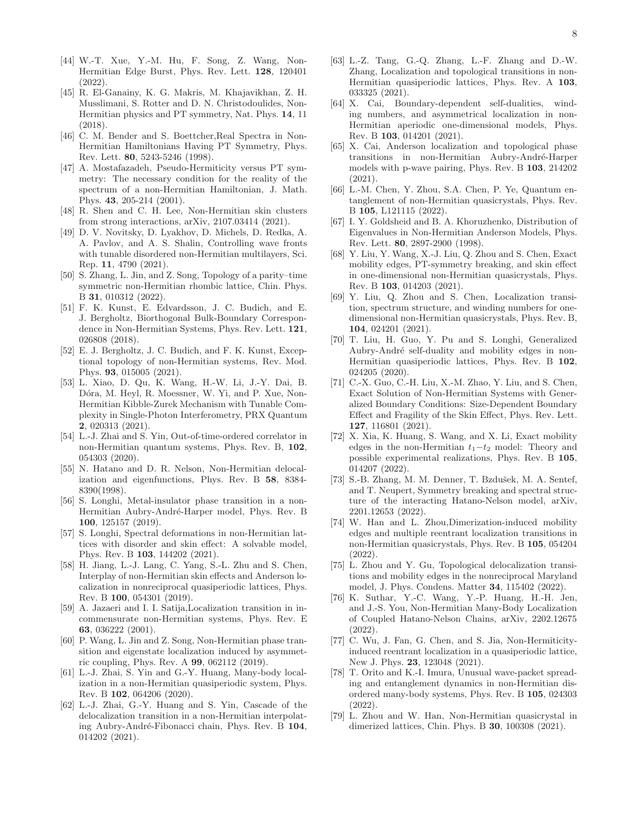- [44] W.-T. Xue, Y.-M. Hu, F. Song, Z. Wang, Non-Hermitian Edge Burst, Phys. Rev. Lett. 128, 120401 (2022).
- [45] R. El-Ganainy, K. G. Makris, M. Khajavikhan, Z. H. Musslimani, S. Rotter and D. N. Christodoulides, Non-Hermitian physics and PT symmetry, Nat. Phys. 14, 11 (2018).
- [46] C. M. Bender and S. Boettcher, Real Spectra in Non-Hermitian Hamiltonians Having PT Symmetry, Phys. Rev. Lett. 80, 5243-5246 (1998).
- [47] A. Mostafazadeh, Pseudo-Hermiticity versus PT symmetry: The necessary condition for the reality of the spectrum of a non-Hermitian Hamiltonian, J. Math. Phys. 43, 205-214 (2001).
- [48] R. Shen and C. H. Lee, Non-Hermitian skin clusters from strong interactions, arXiv, 2107.03414 (2021).
- [49] D. V. Novitsky, D. Lyakhov, D. Michels, D. Redka, A. A. Pavlov, and A. S. Shalin, Controlling wave fronts with tunable disordered non-Hermitian multilayers, Sci. Rep. 11, 4790 (2021).
- [50] S. Zhang, L. Jin, and Z. Song, Topology of a parity–time symmetric non-Hermitian rhombic lattice, Chin. Phys. B 31, 010312 (2022).
- [51] F. K. Kunst, E. Edvardsson, J. C. Budich, and E. J. Bergholtz, Biorthogonal Bulk-Boundary Correspondence in Non-Hermitian Systems, Phys. Rev. Lett. 121, 026808 (2018).
- [52] E. J. Bergholtz, J. C. Budich, and F. K. Kunst, Exceptional topology of non-Hermitian systems, Rev. Mod. Phys. 93, 015005 (2021).
- [53] L. Xiao, D. Qu, K. Wang, H.-W. Li, J.-Y. Dai, B. Dóra, M. Heyl, R. Moessner, W. Yi, and P. Xue, Non-Hermitian Kibble-Zurek Mechanism with Tunable Complexity in Single-Photon Interferometry, PRX Quantum 2, 020313 (2021).
- [54] L.-J. Zhai and S. Yin, Out-of-time-ordered correlator in non-Hermitian quantum systems, Phys. Rev. B, 102, 054303 (2020).
- [55] N. Hatano and D. R. Nelson, Non-Hermitian delocalization and eigenfunctions, Phys. Rev. B 58, 8384- 8390(1998).
- [56] S. Longhi, Metal-insulator phase transition in a non-Hermitian Aubry-André-Harper model, Phys. Rev. B 100, 125157 (2019).
- [57] S. Longhi, Spectral deformations in non-Hermitian lattices with disorder and skin effect: A solvable model, Phys. Rev. B 103, 144202 (2021).
- [58] H. Jiang, L.-J. Lang, C. Yang, S.-L. Zhu and S. Chen, Interplay of non-Hermitian skin effects and Anderson localization in nonreciprocal quasiperiodic lattices, Phys. Rev. B 100, 054301 (2019).
- [59] A. Jazaeri and I. I. Satija,Localization transition in incommensurate non-Hermitian systems, Phys. Rev. E 63, 036222 (2001).
- [60] P. Wang, L. Jin and Z. Song, Non-Hermitian phase transition and eigenstate localization induced by asymmetric coupling, Phys. Rev. A 99, 062112 (2019).
- [61] L.-J. Zhai, S. Yin and G.-Y. Huang, Many-body localization in a non-Hermitian quasiperiodic system, Phys. Rev. B 102, 064206 (2020).
- [62] L.-J. Zhai, G.-Y. Huang and S. Yin, Cascade of the delocalization transition in a non-Hermitian interpolating Aubry-André-Fibonacci chain, Phys. Rev. B 104, 014202 (2021).
- [63] L.-Z. Tang, G.-Q. Zhang, L.-F. Zhang and D.-W. Zhang, Localization and topological transitions in non-Hermitian quasiperiodic lattices, Phys. Rev. A 103, 033325 (2021).
- [64] X. Cai, Boundary-dependent self-dualities, winding numbers, and asymmetrical localization in non-Hermitian aperiodic one-dimensional models, Phys. Rev. B 103, 014201 (2021).
- [65] X. Cai, Anderson localization and topological phase transitions in non-Hermitian Aubry-André-Harper models with p-wave pairing, Phys. Rev. B 103, 214202 (2021).
- [66] L.-M. Chen, Y. Zhou, S.A. Chen, P. Ye, Quantum entanglement of non-Hermitian quasicrystals, Phys. Rev. B 105, L121115 (2022).
- [67] I. Y. Goldsheid and B. A. Khoruzhenko, Distribution of Eigenvalues in Non-Hermitian Anderson Models, Phys. Rev. Lett. 80, 2897-2900 (1998).
- [68] Y. Liu, Y. Wang, X.-J. Liu, Q. Zhou and S. Chen, Exact mobility edges, PT-symmetry breaking, and skin effect in one-dimensional non-Hermitian quasicrystals, Phys. Rev. B 103, 014203 (2021).
- [69] Y. Liu, Q. Zhou and S. Chen, Localization transition, spectrum structure, and winding numbers for onedimensional non-Hermitian quasicrystals, Phys. Rev. B, 104, 024201 (2021).
- [70] T. Liu, H. Guo, Y. Pu and S. Longhi, Generalized Aubry-André self-duality and mobility edges in non-Hermitian quasiperiodic lattices, Phys. Rev. B 102, 024205 (2020).
- [71] C.-X. Guo, C.-H. Liu, X.-M. Zhao, Y. Liu, and S. Chen, Exact Solution of Non-Hermitian Systems with Generalized Boundary Conditions: Size-Dependent Boundary Effect and Fragility of the Skin Effect, Phys. Rev. Lett. 127, 116801 (2021).
- [72] X. Xia, K. Huang, S. Wang, and X. Li, Exact mobility edges in the non-Hermitian  $t_1-t_2$  model: Theory and possible experimental realizations, Phys. Rev. B 105, 014207 (2022).
- [73] S.-B. Zhang, M. M. Denner, T. Bzdušek, M. A. Sentef, and T. Neupert, Symmetry breaking and spectral structure of the interacting Hatano-Nelson model, arXiv, 2201.12653 (2022).
- [74] W. Han and L. Zhou,Dimerization-induced mobility edges and multiple reentrant localization transitions in non-Hermitian quasicrystals, Phys. Rev. B 105, 054204 (2022).
- [75] L. Zhou and Y. Gu, Topological delocalization transitions and mobility edges in the nonreciprocal Maryland model, J. Phys. Condens. Matter 34, 115402 (2022).
- [76] K. Suthar, Y.-C. Wang, Y.-P. Huang, H.-H. Jen, and J.-S. You, Non-Hermitian Many-Body Localization of Coupled Hatano-Nelson Chains, arXiv, 2202.12675 (2022).
- [77] C. Wu, J. Fan, G. Chen, and S. Jia, Non-Hermiticityinduced reentrant localization in a quasiperiodic lattice, New J. Phys. 23, 123048 (2021).
- [78] T. Orito and K.-I. Imura, Unusual wave-packet spreading and entanglement dynamics in non-Hermitian disordered many-body systems, Phys. Rev. B 105, 024303 (2022).
- [79] L. Zhou and W. Han, Non-Hermitian quasicrystal in dimerized lattices, Chin. Phys. B 30, 100308 (2021).